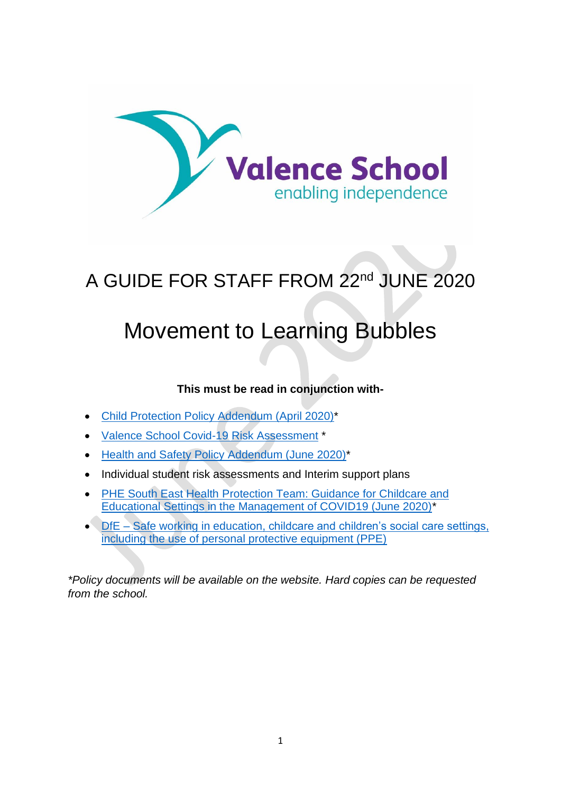

## A GUIDE FOR STAFF FROM 22nd JUNE 2020

# Movement to Learning Bubbles

### **This must be read in conjunction with-**

- [Child Protection Policy Addendum \(April 2020\)\\*](https://www.valenceschool.com/attachments/download.asp?file=185&type=pdf)
- [Valence School Covid-19 Risk Assessment](file:///I:/All-Staff/Policies%20&%20Protocols/Policies/COVID19/Valence%20Risk%20Assessment%20Action%20Plan%20Covid19%20Jun20.pdf) \*
- [Health and Safety Policy](https://www.valenceschool.com/attachments/download.asp?file=221&type=pdf) Addendum (June 2020)\*
- Individual student risk assessments and Interim support plans
- [PHE South East Health Protection Team: Guidance for Childcare and](https://www.valenceschool.com/attachments/download.asp?file=222&type=pdf)  [Educational Settings in the Management of COVID19 \(June 2020\)\\*](https://www.valenceschool.com/attachments/download.asp?file=222&type=pdf)
- DfE [Safe working in education, childcare and children's social care settings,](https://www.gov.uk/government/publications/safe-working-in-education-childcare-and-childrens-social-care)  [including the use of personal protective equipment \(PPE\)](https://www.gov.uk/government/publications/safe-working-in-education-childcare-and-childrens-social-care)

*\*Policy documents will be available on the website. Hard copies can be requested from the school.*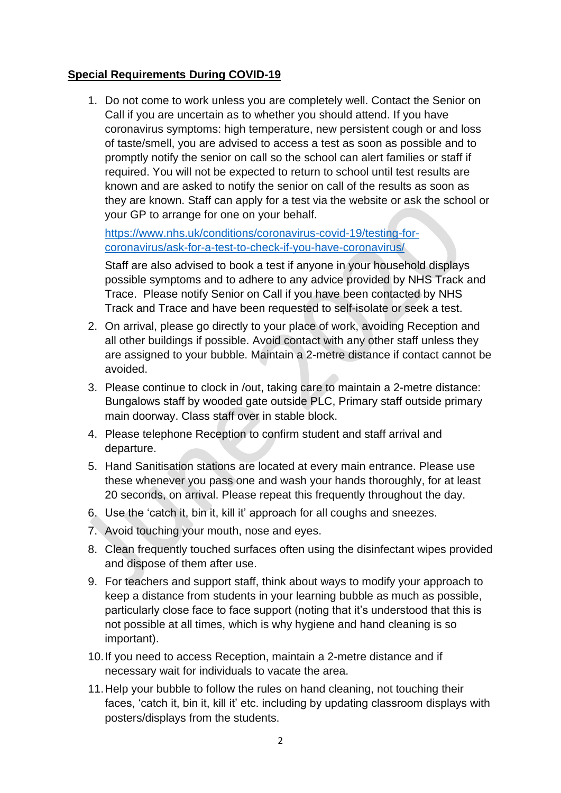#### **Special Requirements During COVID-19**

1. Do not come to work unless you are completely well. Contact the Senior on Call if you are uncertain as to whether you should attend. If you have coronavirus symptoms: high temperature, new persistent cough or and loss of taste/smell, you are advised to access a test as soon as possible and to promptly notify the senior on call so the school can alert families or staff if required. You will not be expected to return to school until test results are known and are asked to notify the senior on call of the results as soon as they are known. Staff can apply for a test via the website or ask the school or your GP to arrange for one on your behalf.

[https://www.nhs.uk/conditions/coronavirus-covid-19/testing-for](https://www.nhs.uk/conditions/coronavirus-covid-19/testing-for-coronavirus/ask-for-a-test-to-check-if-you-have-coronavirus/)[coronavirus/ask-for-a-test-to-check-if-you-have-coronavirus/](https://www.nhs.uk/conditions/coronavirus-covid-19/testing-for-coronavirus/ask-for-a-test-to-check-if-you-have-coronavirus/)

Staff are also advised to book a test if anyone in your household displays possible symptoms and to adhere to any advice provided by NHS Track and Trace. Please notify Senior on Call if you have been contacted by NHS Track and Trace and have been requested to self-isolate or seek a test.

- 2. On arrival, please go directly to your place of work, avoiding Reception and all other buildings if possible. Avoid contact with any other staff unless they are assigned to your bubble. Maintain a 2-metre distance if contact cannot be avoided.
- 3. Please continue to clock in /out, taking care to maintain a 2-metre distance: Bungalows staff by wooded gate outside PLC, Primary staff outside primary main doorway. Class staff over in stable block.
- 4. Please telephone Reception to confirm student and staff arrival and departure.
- 5. Hand Sanitisation stations are located at every main entrance. Please use these whenever you pass one and wash your hands thoroughly, for at least 20 seconds, on arrival. Please repeat this frequently throughout the day.
- 6. Use the 'catch it, bin it, kill it' approach for all coughs and sneezes.
- 7. Avoid touching your mouth, nose and eyes.
- 8. Clean frequently touched surfaces often using the disinfectant wipes provided and dispose of them after use.
- 9. For teachers and support staff, think about ways to modify your approach to keep a distance from students in your learning bubble as much as possible, particularly close face to face support (noting that it's understood that this is not possible at all times, which is why hygiene and hand cleaning is so important).
- 10.If you need to access Reception, maintain a 2-metre distance and if necessary wait for individuals to vacate the area.
- 11.Help your bubble to follow the rules on hand cleaning, not touching their faces, 'catch it, bin it, kill it' etc. including by updating classroom displays with posters/displays from the students.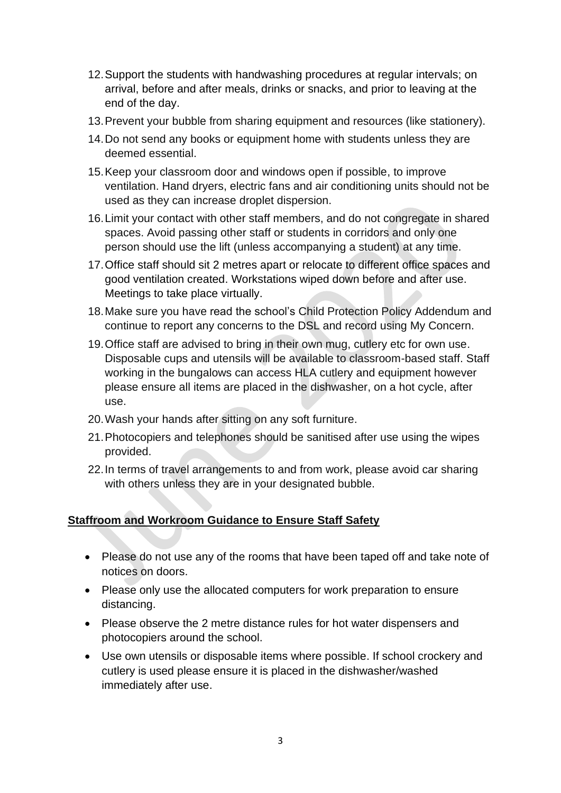- 12.Support the students with handwashing procedures at regular intervals; on arrival, before and after meals, drinks or snacks, and prior to leaving at the end of the day.
- 13.Prevent your bubble from sharing equipment and resources (like stationery).
- 14.Do not send any books or equipment home with students unless they are deemed essential.
- 15.Keep your classroom door and windows open if possible, to improve ventilation. Hand dryers, electric fans and air conditioning units should not be used as they can increase droplet dispersion.
- 16.Limit your contact with other staff members, and do not congregate in shared spaces. Avoid passing other staff or students in corridors and only one person should use the lift (unless accompanying a student) at any time.
- 17.Office staff should sit 2 metres apart or relocate to different office spaces and good ventilation created. Workstations wiped down before and after use. Meetings to take place virtually.
- 18.Make sure you have read the school's Child Protection Policy Addendum and continue to report any concerns to the DSL and record using My Concern.
- 19.Office staff are advised to bring in their own mug, cutlery etc for own use. Disposable cups and utensils will be available to classroom-based staff. Staff working in the bungalows can access HLA cutlery and equipment however please ensure all items are placed in the dishwasher, on a hot cycle, after use.
- 20.Wash your hands after sitting on any soft furniture.
- 21.Photocopiers and telephones should be sanitised after use using the wipes provided.
- 22.In terms of travel arrangements to and from work, please avoid car sharing with others unless they are in your designated bubble.

## **Staffroom and Workroom Guidance to Ensure Staff Safety**

- Please do not use any of the rooms that have been taped off and take note of notices on doors.
- Please only use the allocated computers for work preparation to ensure distancing.
- Please observe the 2 metre distance rules for hot water dispensers and photocopiers around the school.
- Use own utensils or disposable items where possible. If school crockery and cutlery is used please ensure it is placed in the dishwasher/washed immediately after use.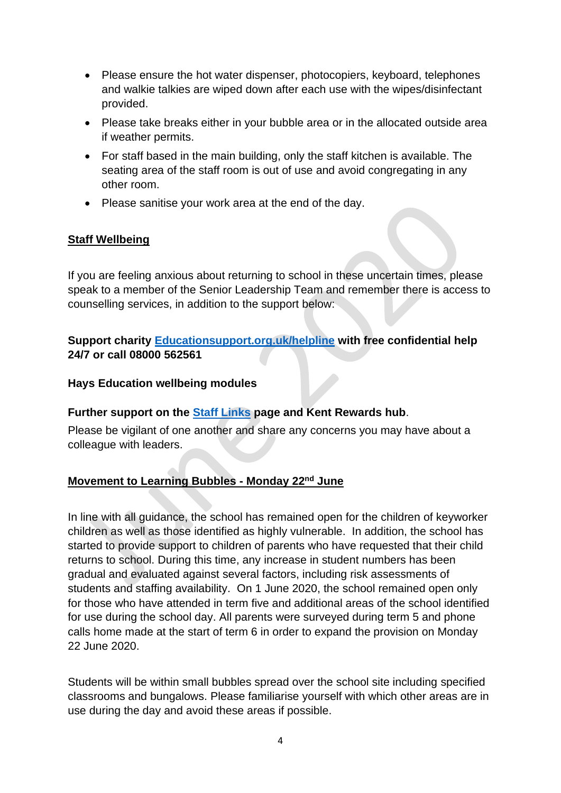- Please ensure the hot water dispenser, photocopiers, keyboard, telephones and walkie talkies are wiped down after each use with the wipes/disinfectant provided.
- Please take breaks either in your bubble area or in the allocated outside area if weather permits.
- For staff based in the main building, only the staff kitchen is available. The seating area of the staff room is out of use and avoid congregating in any other room.
- Please sanitise your work area at the end of the day.

### **Staff Wellbeing**

If you are feeling anxious about returning to school in these uncertain times, please speak to a member of the Senior Leadership Team and remember there is access to counselling services, in addition to the support below:

### **Support charity [Educationsupport.org.uk/helpline](https://www.educationsupport.org.uk/coronavirus-support) with free confidential help 24/7 or call 08000 562561**

#### **Hays Education wellbeing modules**

#### **Further support on the [Staff Links](https://valence.kent.sch.uk/page/?title=Staff+Links&pid=86) page and Kent Rewards hub**.

Please be vigilant of one another and share any concerns you may have about a colleague with leaders.

## **Movement to Learning Bubbles - Monday 22nd June**

In line with all guidance, the school has remained open for the children of keyworker children as well as those identified as highly vulnerable. In addition, the school has started to provide support to children of parents who have requested that their child returns to school. During this time, any increase in student numbers has been gradual and evaluated against several factors, including risk assessments of students and staffing availability. On 1 June 2020, the school remained open only for those who have attended in term five and additional areas of the school identified for use during the school day. All parents were surveyed during term 5 and phone calls home made at the start of term 6 in order to expand the provision on Monday 22 June 2020.

Students will be within small bubbles spread over the school site including specified classrooms and bungalows. Please familiarise yourself with which other areas are in use during the day and avoid these areas if possible.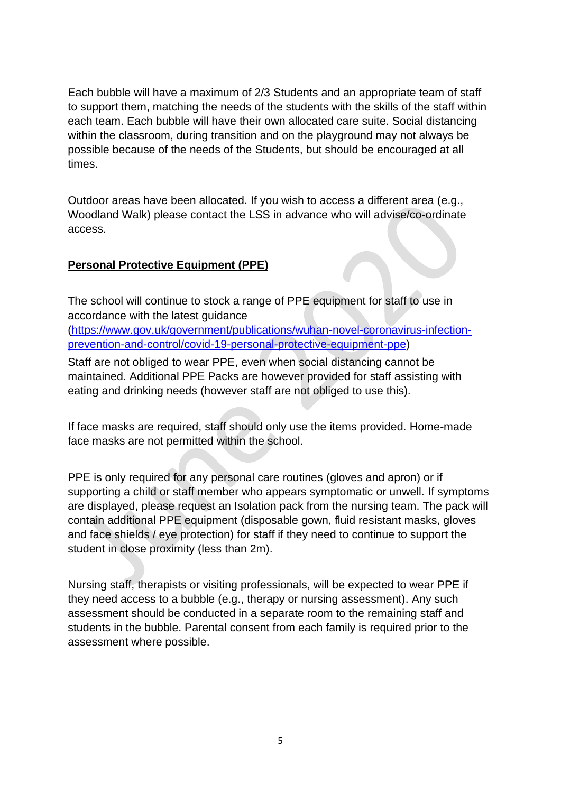Each bubble will have a maximum of 2/3 Students and an appropriate team of staff to support them, matching the needs of the students with the skills of the staff within each team. Each bubble will have their own allocated care suite. Social distancing within the classroom, during transition and on the playground may not always be possible because of the needs of the Students, but should be encouraged at all times.

Outdoor areas have been allocated. If you wish to access a different area (e.g., Woodland Walk) please contact the LSS in advance who will advise/co-ordinate access.

#### **Personal Protective Equipment (PPE)**

The school will continue to stock a range of PPE equipment for staff to use in accordance with the latest guidance

[\(https://www.gov.uk/government/publications/wuhan-novel-coronavirus-infection](https://www.gov.uk/government/publications/wuhan-novel-coronavirus-infection-prevention-and-control/covid-19-personal-protective-equipment-ppe)[prevention-and-control/covid-19-personal-protective-equipment-ppe\)](https://www.gov.uk/government/publications/wuhan-novel-coronavirus-infection-prevention-and-control/covid-19-personal-protective-equipment-ppe)

Staff are not obliged to wear PPE, even when social distancing cannot be maintained. Additional PPE Packs are however provided for staff assisting with eating and drinking needs (however staff are not obliged to use this).

If face masks are required, staff should only use the items provided. Home-made face masks are not permitted within the school.

PPE is only required for any personal care routines (gloves and apron) or if supporting a child or staff member who appears symptomatic or unwell. If symptoms are displayed, please request an Isolation pack from the nursing team. The pack will contain additional PPE equipment (disposable gown, fluid resistant masks, gloves and face shields / eye protection) for staff if they need to continue to support the student in close proximity (less than 2m).

Nursing staff, therapists or visiting professionals, will be expected to wear PPE if they need access to a bubble (e.g., therapy or nursing assessment). Any such assessment should be conducted in a separate room to the remaining staff and students in the bubble. Parental consent from each family is required prior to the assessment where possible.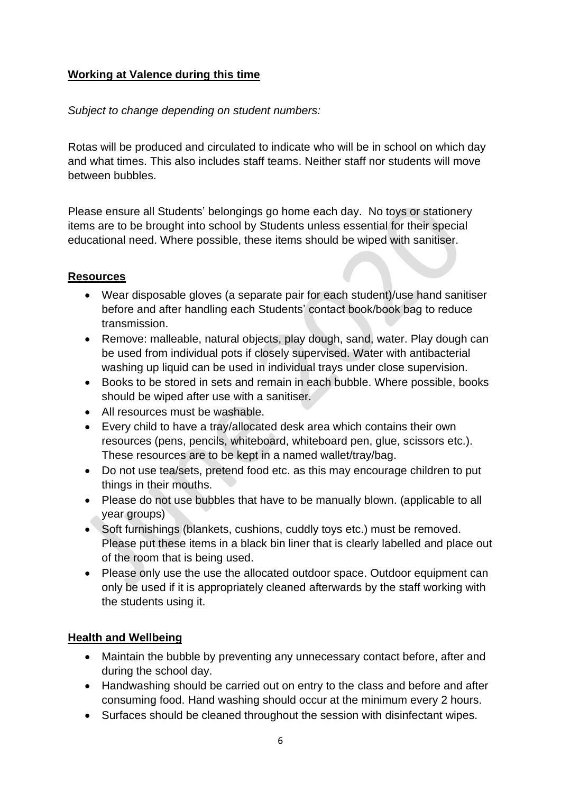### **Working at Valence during this time**

#### *Subject to change depending on student numbers:*

Rotas will be produced and circulated to indicate who will be in school on which day and what times. This also includes staff teams. Neither staff nor students will move between bubbles.

Please ensure all Students' belongings go home each day. No toys or stationery items are to be brought into school by Students unless essential for their special educational need. Where possible, these items should be wiped with sanitiser.

### **Resources**

- Wear disposable gloves (a separate pair for each student)/use hand sanitiser before and after handling each Students' contact book/book bag to reduce transmission.
- Remove: malleable, natural objects, play dough, sand, water. Play dough can be used from individual pots if closely supervised. Water with antibacterial washing up liquid can be used in individual trays under close supervision.
- Books to be stored in sets and remain in each bubble. Where possible, books should be wiped after use with a sanitiser.
- All resources must be washable.
- Every child to have a tray/allocated desk area which contains their own resources (pens, pencils, whiteboard, whiteboard pen, glue, scissors etc.). These resources are to be kept in a named wallet/tray/bag.
- Do not use tea/sets, pretend food etc. as this may encourage children to put things in their mouths.
- Please do not use bubbles that have to be manually blown. (applicable to all year groups)
- Soft furnishings (blankets, cushions, cuddly toys etc.) must be removed. Please put these items in a black bin liner that is clearly labelled and place out of the room that is being used.
- Please only use the use the allocated outdoor space. Outdoor equipment can only be used if it is appropriately cleaned afterwards by the staff working with the students using it.

#### **Health and Wellbeing**

- Maintain the bubble by preventing any unnecessary contact before, after and during the school day.
- Handwashing should be carried out on entry to the class and before and after consuming food. Hand washing should occur at the minimum every 2 hours.
- Surfaces should be cleaned throughout the session with disinfectant wipes.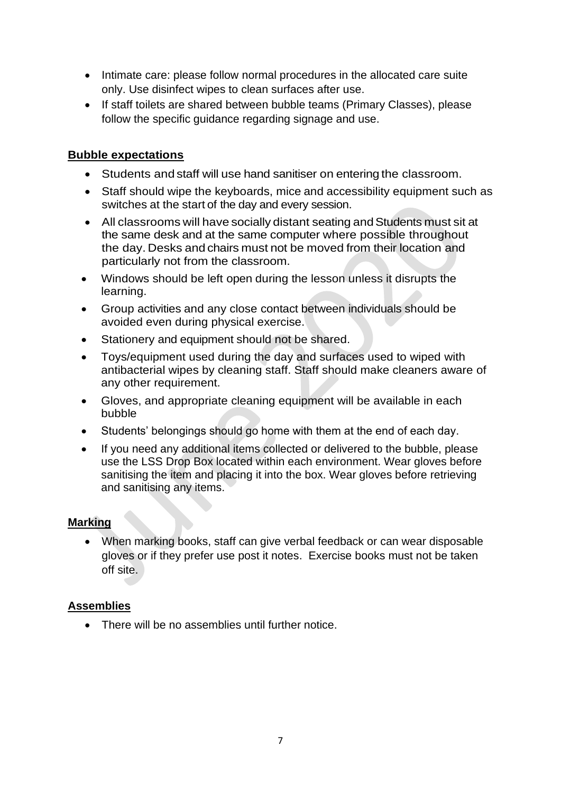- Intimate care: please follow normal procedures in the allocated care suite only. Use disinfect wipes to clean surfaces after use.
- If staff toilets are shared between bubble teams (Primary Classes), please follow the specific guidance regarding signage and use.

#### **Bubble expectations**

- Students and staff will use hand sanitiser on entering the classroom.
- Staff should wipe the keyboards, mice and accessibility equipment such as switches at the start of the day and every session.
- All classrooms will have socially distant seating and Students must sit at the same desk and at the same computer where possible throughout the day. Desks and chairs must not be moved from their location and particularly not from the classroom.
- Windows should be left open during the lesson unless it disrupts the learning.
- Group activities and any close contact between individuals should be avoided even during physical exercise.
- Stationery and equipment should not be shared.
- Toys/equipment used during the day and surfaces used to wiped with antibacterial wipes by cleaning staff. Staff should make cleaners aware of any other requirement.
- Gloves, and appropriate cleaning equipment will be available in each bubble
- Students' belongings should go home with them at the end of each day.
- If you need any additional items collected or delivered to the bubble, please use the LSS Drop Box located within each environment. Wear gloves before sanitising the item and placing it into the box. Wear gloves before retrieving and sanitising any items.

#### **Marking**

• When marking books, staff can give verbal feedback or can wear disposable gloves or if they prefer use post it notes. Exercise books must not be taken off site.

## **Assemblies**

• There will be no assemblies until further notice.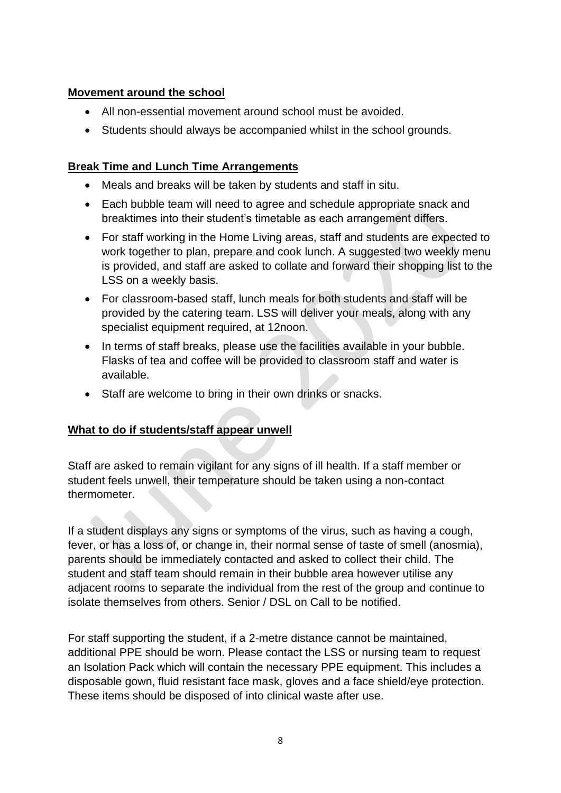#### **Movement around the school**

- All non-essential movement around school must be avoided.
- Students should always be accompanied whilst in the school grounds.

#### **Break Time and Lunch Time Arrangements**

- Meals and breaks will be taken by students and staff in situ.
- Each bubble team will need to agree and schedule appropriate snack and breaktimes into their student's timetable as each arrangement differs.
- For staff working in the Home Living areas, staff and students are expected to work together to plan, prepare and cook lunch. A suggested two weekly menu is provided, and staff are asked to collate and forward their shopping list to the LSS on a weekly basis.
- For classroom-based staff, lunch meals for both students and staff will be provided by the catering team. LSS will deliver your meals, along with any specialist equipment required, at 12noon.
- In terms of staff breaks, please use the facilities available in your bubble. Flasks of tea and coffee will be provided to classroom staff and water is available.
- Staff are welcome to bring in their own drinks or snacks.

## **What to do if students/staff appear unwell**

Staff are asked to remain vigilant for any signs of ill health. If a staff member or student feels unwell, their temperature should be taken using a non-contact thermometer.

If a student displays any signs or symptoms of the virus, such as having a cough, fever, or has a loss of, or change in, their normal sense of taste of smell (anosmia), parents should be immediately contacted and asked to collect their child. The student and staff team should remain in their bubble area however utilise any adjacent rooms to separate the individual from the rest of the group and continue to isolate themselves from others. Senior / DSL on Call to be notified.

For staff supporting the student, if a 2-metre distance cannot be maintained, additional PPE should be worn. Please contact the LSS or nursing team to request an Isolation Pack which will contain the necessary PPE equipment. This includes a disposable gown, fluid resistant face mask, gloves and a face shield/eye protection. These items should be disposed of into clinical waste after use.